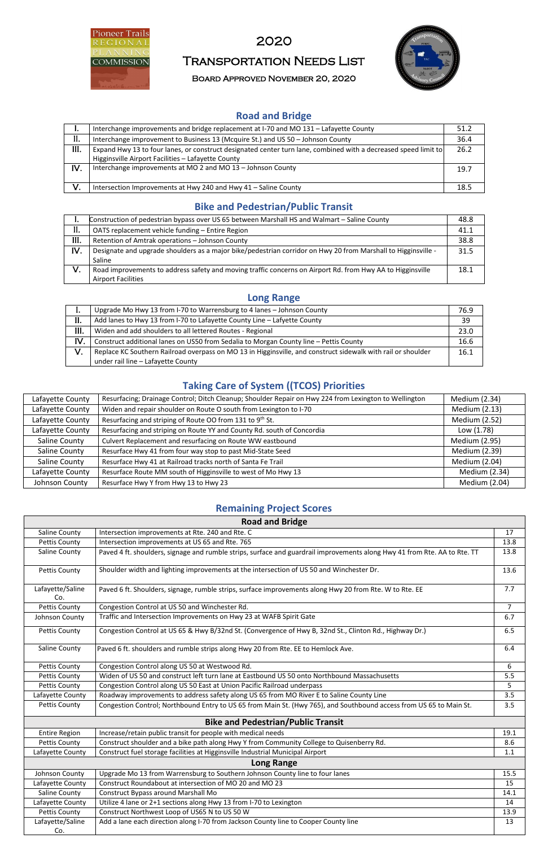

## 2020

# Transportation Needs List

Board Approved November 20, 2020



### **Road and Bridge**

|      | Interchange improvements and bridge replacement at I-70 and MO 131 - Lafayette County                           | 51.2 |
|------|-----------------------------------------------------------------------------------------------------------------|------|
| Н.   | Interchange improvement to Business 13 (Mcquire St.) and US 50 - Johnson County                                 | 36.4 |
| III. | Expand Hwy 13 to four lanes, or construct designated center turn lane, combined with a decreased speed limit to | 26.2 |
|      | Higginsville Airport Facilities - Lafayette County                                                              |      |
| IV.  | Interchange improvements at MO 2 and MO 13 - Johnson County                                                     | 19.7 |
|      |                                                                                                                 |      |
| V.   | Intersection Improvements at Hwy 240 and Hwy 41 - Saline County                                                 | 18.5 |

#### **Bike and Pedestrian/Public Transit**

| ı.   | Construction of pedestrian bypass over US 65 between Marshall HS and Walmart - Saline County                  | 48.8 |
|------|---------------------------------------------------------------------------------------------------------------|------|
| II.  | OATS replacement vehicle funding - Entire Region                                                              | 41.1 |
| III. | Retention of Amtrak operations - Johnson County                                                               | 38.8 |
| IV.  | Designate and upgrade shoulders as a major bike/pedestrian corridor on Hwy 20 from Marshall to Higginsville - | 31.5 |
|      | Saline                                                                                                        |      |
| V.   | Road improvements to address safety and moving traffic concerns on Airport Rd. from Hwy AA to Higginsville    | 18.1 |
|      | <b>Airport Facilities</b>                                                                                     |      |

#### **Long Range**

|     | Upgrade Mo Hwy 13 from I-70 to Warrensburg to 4 lanes - Johnson County                                       | 76.9 |
|-----|--------------------------------------------------------------------------------------------------------------|------|
| II. | Add lanes to Hwy 13 from I-70 to Lafayette County Line - Lafyette County                                     | 39   |
| Ш.  | Widen and add shoulders to all lettered Routes - Regional                                                    | 23.0 |
| IV. | Construct additional lanes on US50 from Sedalia to Morgan County line - Pettis County                        | 16.6 |
| V.  | Replace KC Southern Railroad overpass on MO 13 in Higginsville, and construct sidewalk with rail or shoulder | 16.1 |
|     | under rail line - Lafayette County                                                                           |      |

## **Taking Care of System ((TCOS) Priorities**

| Lafayette County | Resurfacing; Drainage Control; Ditch Cleanup; Shoulder Repair on Hwy 224 from Lexington to Wellington | Medium (2.34)        |
|------------------|-------------------------------------------------------------------------------------------------------|----------------------|
| Lafayette County | Widen and repair shoulder on Route O south from Lexington to I-70                                     | Medium (2.13)        |
| Lafayette County | Resurfacing and striping of Route OO from 131 to 9 <sup>th</sup> St.                                  | Medium (2.52)        |
| Lafayette County | Resurfacing and striping on Route YY and County Rd. south of Concordia                                | Low (1.78)           |
| Saline County    | Culvert Replacement and resurfacing on Route WW eastbound                                             | <b>Medium (2.95)</b> |
| Saline County    | Resurface Hwy 41 from four way stop to past Mid-State Seed                                            | <b>Medium (2.39)</b> |
| Saline County    | Resurface Hwy 41 at Railroad tracks north of Santa Fe Trail                                           | Medium (2.04)        |
| Lafayette County | Resurface Route MM south of Higginsville to west of Mo Hwy 13                                         | Medium (2.34)        |
| Johnson County   | Resurface Hwy Y from Hwy 13 to Hwy 23                                                                 | Medium (2.04)        |

#### **Remaining Project Scores**

| <b>Road and Bridge</b>  |                                                                                                                           |                |  |
|-------------------------|---------------------------------------------------------------------------------------------------------------------------|----------------|--|
| Saline County           | Intersection improvements at Rte. 240 and Rte. C                                                                          | 17             |  |
| <b>Pettis County</b>    | Intersection improvements at US 65 and Rte. 765                                                                           | 13.8           |  |
| <b>Saline County</b>    | Paved 4 ft. shoulders, signage and rumble strips, surface and guardrail improvements along Hwy 41 from Rte. AA to Rte. TT | 13.8           |  |
| <b>Pettis County</b>    | Shoulder width and lighting improvements at the intersection of US 50 and Winchester Dr.                                  | 13.6           |  |
| Lafayette/Saline<br>Co. | Paved 6 ft. Shoulders, signage, rumble strips, surface improvements along Hwy 20 from Rte. W to Rte. EE                   | 7.7            |  |
| <b>Pettis County</b>    | Congestion Control at US 50 and Winchester Rd.                                                                            | $\overline{7}$ |  |
| Johnson County          | Traffic and Intersection Improvements on Hwy 23 at WAFB Spirit Gate                                                       | 6.7            |  |
| <b>Pettis County</b>    | Congestion Control at US 65 & Hwy B/32nd St. (Convergence of Hwy B, 32nd St., Clinton Rd., Highway Dr.)                   | 6.5            |  |
| Saline County           | Paved 6 ft. shoulders and rumble strips along Hwy 20 from Rte. EE to Hemlock Ave.                                         | 6.4            |  |
| <b>Pettis County</b>    | Congestion Control along US 50 at Westwood Rd.                                                                            | 6              |  |
| <b>Pettis County</b>    | Widen of US 50 and construct left turn lane at Eastbound US 50 onto Northbound Massachusetts                              | 5.5            |  |
| Pettis County           | Congestion Control along US 50 East at Union Pacific Railroad underpass                                                   | 5              |  |
| Lafayette County        | Roadway improvements to address safety along US 65 from MO River E to Saline County Line                                  | 3.5            |  |
| <b>Pettis County</b>    | Congestion Control; Northbound Entry to US 65 from Main St. (Hwy 765), and Southbound access from US 65 to Main St.       | 3.5            |  |
|                         | <b>Bike and Pedestrian/Public Transit</b>                                                                                 |                |  |
| <b>Entire Region</b>    | Increase/retain public transit for people with medical needs                                                              | 19.1           |  |
| <b>Pettis County</b>    | Construct shoulder and a bike path along Hwy Y from Community College to Quisenberry Rd.                                  | 8.6            |  |
| Lafayette County        | Construct fuel storage facilities at Higginsville Industrial Municipal Airport                                            | 1.1            |  |
|                         | <b>Long Range</b>                                                                                                         |                |  |
| Johnson County          | Upgrade Mo 13 from Warrensburg to Southern Johnson County line to four lanes                                              | 15.5           |  |
| Lafayette County        | Construct Roundabout at intersection of MO 20 and MO 23                                                                   | 15             |  |
| Saline County           | Construct Bypass around Marshall Mo                                                                                       | 14.1           |  |
| Lafayette County        | Utilize 4 lane or 2+1 sections along Hwy 13 from I-70 to Lexington                                                        | 14             |  |
| <b>Pettis County</b>    | Construct Northwest Loop of US65 N to US 50 W                                                                             | 13.9           |  |
| Lafayette/Saline<br>Co. | Add a lane each direction along I-70 from Jackson County line to Cooper County line                                       | 13             |  |